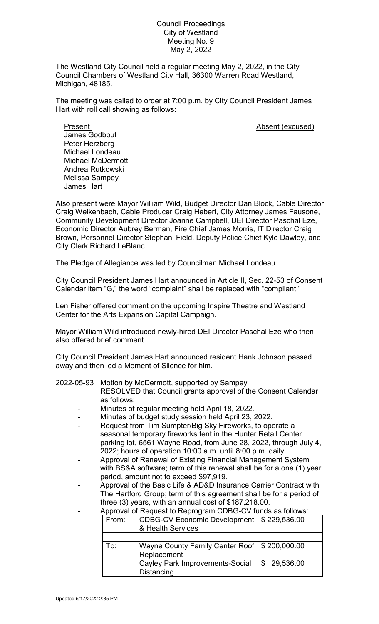## Council Proceedings City of Westland Meeting No. 9 May 2, 2022

The Westland City Council held a regular meeting May 2, 2022, in the City Council Chambers of Westland City Hall, 36300 Warren Road Westland, Michigan, 48185.

The meeting was called to order at 7:00 p.m. by City Council President James Hart with roll call showing as follows:

Present **Absent** (excused) James Godbout Peter Herzberg Michael Londeau Michael McDermott Andrea Rutkowski Melissa Sampey James Hart

Also present were Mayor William Wild, Budget Director Dan Block, Cable Director Craig Welkenbach, Cable Producer Craig Hebert, City Attorney James Fausone, Community Development Director Joanne Campbell, DEI Director Paschal Eze, Economic Director Aubrey Berman, Fire Chief James Morris, IT Director Craig Brown, Personnel Director Stephani Field, Deputy Police Chief Kyle Dawley, and City Clerk Richard LeBlanc.

The Pledge of Allegiance was led by Councilman Michael Londeau.

City Council President James Hart announced in Article II, Sec. 22-53 of Consent Calendar item "G," the word "complaint" shall be replaced with "compliant."

Len Fisher offered comment on the upcoming Inspire Theatre and Westland Center for the Arts Expansion Capital Campaign.

Mayor William Wild introduced newly-hired DEI Director Paschal Eze who then also offered brief comment.

City Council President James Hart announced resident Hank Johnson passed away and then led a Moment of Silence for him.

## 2022-05-93 Motion by McDermott, supported by Sampey

RESOLVED that Council grants approval of the Consent Calendar as follows:

- Minutes of regular meeting held April 18, 2022.
- Minutes of budget study session held April 23, 2022.
- Request from Tim Sumpter/Big Sky Fireworks, to operate a seasonal temporary fireworks tent in the Hunter Retail Center parking lot, 6561 Wayne Road, from June 28, 2022, through July 4, 2022; hours of operation 10:00 a.m. until 8:00 p.m. daily.
- Approval of Renewal of Existing Financial Management System with BS&A software; term of this renewal shall be for a one (1) year period, amount not to exceed \$97,919.
- Approval of the Basic Life & AD&D Insurance Carrier Contract with The Hartford Group; term of this agreement shall be for a period of three (3) years, with an annual cost of \$187,218.00.

| Apploval of Request to Reprogram GDDG-CV funds as ioliows. |                                                 |             |
|------------------------------------------------------------|-------------------------------------------------|-------------|
| From:                                                      | CDBG-CV Economic Development   \$ 229,536.00    |             |
|                                                            | & Health Services                               |             |
|                                                            |                                                 |             |
| To:                                                        | Wayne County Family Center Roof   \$ 200,000.00 |             |
|                                                            | Replacement                                     |             |
|                                                            | <b>Cayley Park Improvements-Social</b>          | \$29,536.00 |
|                                                            | Distancing                                      |             |

## - Approval of Request to Reprogram CDBG-CV funds as follows: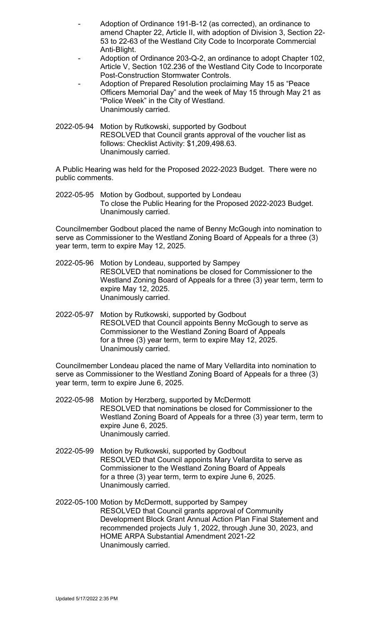- Adoption of Ordinance 191-B-12 (as corrected), an ordinance to amend Chapter 22, Article II, with adoption of Division 3, Section 22- 53 to 22-63 of the Westland City Code to Incorporate Commercial Anti-Blight.
- Adoption of Ordinance 203-Q-2, an ordinance to adopt Chapter 102, Article V, Section 102.236 of the Westland City Code to Incorporate Post-Construction Stormwater Controls.
- Adoption of Prepared Resolution proclaiming May 15 as "Peace Officers Memorial Day" and the week of May 15 through May 21 as "Police Week" in the City of Westland. Unanimously carried.
- 2022-05-94 Motion by Rutkowski, supported by Godbout RESOLVED that Council grants approval of the voucher list as follows: Checklist Activity: \$1,209,498.63. Unanimously carried.

A Public Hearing was held for the Proposed 2022-2023 Budget. There were no public comments.

2022-05-95 Motion by Godbout, supported by Londeau To close the Public Hearing for the Proposed 2022-2023 Budget. Unanimously carried.

Councilmember Godbout placed the name of Benny McGough into nomination to serve as Commissioner to the Westland Zoning Board of Appeals for a three (3) year term, term to expire May 12, 2025.

- 2022-05-96 Motion by Londeau, supported by Sampey RESOLVED that nominations be closed for Commissioner to the Westland Zoning Board of Appeals for a three (3) year term, term to expire May 12, 2025. Unanimously carried.
- 2022-05-97 Motion by Rutkowski, supported by Godbout RESOLVED that Council appoints Benny McGough to serve as Commissioner to the Westland Zoning Board of Appeals for a three (3) year term, term to expire May 12, 2025. Unanimously carried.

Councilmember Londeau placed the name of Mary Vellardita into nomination to serve as Commissioner to the Westland Zoning Board of Appeals for a three (3) year term, term to expire June 6, 2025.

- 2022-05-98 Motion by Herzberg, supported by McDermott RESOLVED that nominations be closed for Commissioner to the Westland Zoning Board of Appeals for a three (3) year term, term to expire June 6, 2025. Unanimously carried.
- 2022-05-99 Motion by Rutkowski, supported by Godbout RESOLVED that Council appoints Mary Vellardita to serve as Commissioner to the Westland Zoning Board of Appeals for a three (3) year term, term to expire June 6, 2025. Unanimously carried.
- 2022-05-100 Motion by McDermott, supported by Sampey RESOLVED that Council grants approval of Community Development Block Grant Annual Action Plan Final Statement and recommended projects July 1, 2022, through June 30, 2023, and HOME ARPA Substantial Amendment 2021-22 Unanimously carried.